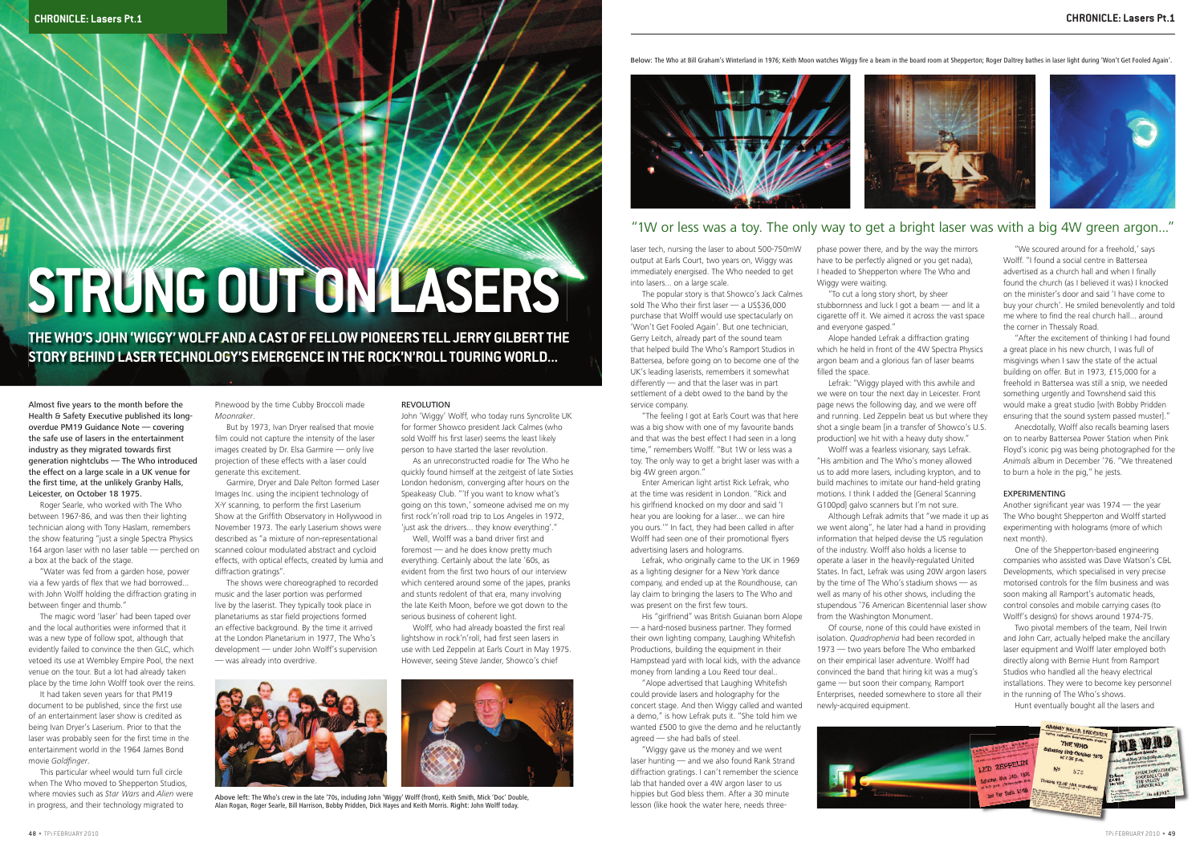laser tech, nursing the laser to about 500-750mW output at Earls Court, two years on, Wiggy was immediately energised. The Who needed to get into lasers... on a large scale.

 "The feeling I got at Earls Court was that here was a big show with one of my favourite bands and that was the best effect I had seen in a long time," remembers Wolff. "But 1W or less was a toy. The only way to get a bright laser was with a big 4W green argon."

 The popular story is that Showco's Jack Calmes sold The Who their first laser  $-$  a US\$36,000 purchase that Wolff would use spectacularly on 'Won't Get Fooled Again'. But one technician, Gerry Leitch, already part of the sound team that helped build The Who's Ramport Studios in Battersea, before going on to become one of the UK's leading laserists, remembers it somewhat differently — and that the laser was in part settlement of a debt owed to the band by the service company.

 Lefrak, who originally came to the UK in 1969 as a lighting designer for a New York dance company, and ended up at the Roundhouse, can lay claim to bringing the lasers to The Who and was present on the first few tours.

"Alope advertised that Laughing Whitefish could provide lasers and holography for the concert stage. And then Wiggy called and wanted a demo," is how Lefrak puts it. "She told him we wanted £500 to give the demo and he reluctantly agreed — she had balls of steel.

 Enter American light artist Rick Lefrak, who at the time was resident in London. "Rick and his girlfriend knocked on my door and said 'I hear you are looking for a laser... we can hire you ours.'" In fact, they had been called in after Wolff had seen one of their promotional flyers advertising lasers and holograms.

 Alope handed Lefrak a diffraction grating which he held in front of the 4W Spectra Physics argon beam and a glorious fan of laser beams filled the space.

Lefrak: "Wiggy played with this awhile and Wolff was a fearless visionary, says Lefrak.

 His "girlfriend" was British Guianan born Alope — a hard-nosed business partner. They formed their own lighting company, Laughing Whitefish Productions, building the equipment in their Hampstead yard with local kids, with the advance money from landing a Lou Reed tour deal..

 "Wiggy gave us the money and we went laser hunting — and we also found Rank Strand diffraction gratings. I can't remember the science lab that handed over a 4W argon laser to us hippies but God bless them. After a 30 minute lesson (like hook the water here, needs threephase power there, and by the way the mirrors have to be perfectly aligned or you get nada), I headed to Shepperton where The Who and Wiggy were waiting.

 "To cut a long story short, by sheer stubbornness and luck I got a beam — and lit a cigarette off it. We aimed it across the vast space and everyone gasped."

> Another significant year was  $1974 -$  the year The Who bought Shepperton and Wolff started experimenting with holograms (more of which next month).

 One of the Shepperton-based engineering companies who assisted was Dave Watson's C&L Developments, which specialised in very precise motorised controls for the film business and was soon making all Ramport's automatic heads, control consoles and mobile carrying cases (to Wolff's designs) for shows around 1974-75.

we were on tour the next day in Leicester. Front page news the following day, and we were off and running. Led Zeppelin beat us but where they shot a single beam [in a transfer of Showco's U.S. production] we hit with a heavy duty show." "His ambition and The Who's money allowed us to add more lasers, including krypton, and to build machines to imitate our hand-held grating motions. I think I added the [General Scanning G100pd] galvo scanners but I'm not sure. Although Lefrak admits that "we made it up as

Almost five years to the month before the Health & Safety Executive published its longoverdue PM19 Guidance Note — covering the safe use of lasers in the entertainment industry as they migrated towards first generation nightclubs — The Who introduced the effect on a large scale in a UK venue for the first time, at the unlikely Granby Halls, Leicester, on October 18 1975.

 "Water was fed from a garden hose, power via a few yards of flex that we had borrowed... with John Wolff holding the diffraction grating in between finger and thumb."

we went along", he later had a hand in providing information that helped devise the US regulation of the industry. Wolff also holds a license to operate a laser in the heavily-regulated United States. In fact, Lefrak was using 20W argon lasers by the time of The Who's stadium shows — as well as many of his other shows, including the stupendous '76 American Bicentennial laser show from the Washington Monument.

 It had taken seven years for that PM19 document to be published, since the first use of an entertainment laser show is credited as being Ivan Dryer's Laserium. Prior to that the laser was probably seen for the first time in the entertainment world in the 1964 James Bond movie Goldfinger

 Of course, none of this could have existed in isolation. Quadrophenia had been recorded in 1973 — two years before The Who embarked on their empirical laser adventure. Wolff had convinced the band that hiring kit was a mug's game — but soon their company, Ramport Enterprises, needed somewhere to store all their newly-acquired equipment.



 "We scoured around for a freehold,' says Wolff. "I found a social centre in Battersea advertised as a church hall and when I finally found the church (as I believed it was) I knocked on the minister's door and said 'I have come to buy your church'. He smiled benevolently and told me where to find the real church hall... around the corner in Thessaly Road.

 "After the excitement of thinking I had found a great place in his new church, I was full of misgivings when I saw the state of the actual building on offer. But in 1973, £15,000 for a freehold in Battersea was still a snip, we needed something urgently and Townshend said this would make a great studio [with Bobby Pridden ensuring that the sound system passed muster]."

Wolff, who had already boasted the first real lightshow in rock'n'roll, had first seen lasers in use with Led Zeppelin at Earls Court in May 1975. However, seeing Steve Jander, Showco's chief

Below: The Who at Bill Graham's Winterland in 1976; Keith Moon watches Wiggy fire a beam in the board room at Shepperton; Roger Daltrey bathes in laser light during 'Won't Get Fooled Again'.



 Anecdotally, Wolff also recalls beaming lasers on to nearby Battersea Power Station when Pink Floyd's iconic pig was being photographed for the Animals album in December '76. "We threatened to burn a hole in the pig," he jests.

### EXPERIMENTING

 Two pivotal members of the team, Neil Irwin and John Carr, actually helped make the ancillary laser equipment and Wolff later employed both directly along with Bernie Hunt from Ramport Studios who handled all the heavy electrical installations. They were to become key personnel in the running of The Who's shows.

Hunt eventually bought all the lasers and





 Roger Searle, who worked with The Who between 1967-86, and was then their lighting technician along with Tony Haslam, remembers the show featuring "just a single Spectra Physics 164 argon laser with no laser table — perched on a box at the back of the stage.

 The magic word 'laser' had been taped over and the local authorities were informed that it was a new type of follow spot, although that evidently failed to convince the then GLC, which vetoed its use at Wembley Empire Pool, the next venue on the tour. But a lot had already taken place by the time John Wolff took over the reins.

 This particular wheel would turn full circle when The Who moved to Shepperton Studios. where movies such as Star Wars and Alien were in progress, and their technology migrated to

Pinewood by the time Cubby Broccoli made Moonraker.

 But by 1973, Ivan Dryer realised that movie film could not capture the intensity of the laser images created by Dr. Elsa Garmire — only live projection of these effects with a laser could generate this excitement.

 Garmire, Dryer and Dale Pelton formed Laser Images Inc. using the incipient technology of X-Y scanning, to perform the first Laserium Show at the Griffith Observatory in Hollywood in November 1973. The early Laserium shows were described as "a mixture of non-representational scanned colour modulated abstract and cycloid effects, with optical effects, created by lumia and diffraction gratings".

 The shows were choreographed to recorded music and the laser portion was performed live by the laserist. They typically took place in planetariums as star field projections formed an effective background. By the time it arrived at the London Planetarium in 1977, The Who's development — under John Wolff's supervision — was already into overdrive.

REVOLUTION

John 'Wiggy' Wolff, who today runs Syncrolite UK for former Showco president Jack Calmes (who sold Wolff his first laser) seems the least likely person to have started the laser revolution. As an unreconstructed roadie for The Who he quickly found himself at the zeitgeist of late Sixties London hedonism, converging after hours on the Speakeasy Club. "'If you want to know what's going on this town,' someone advised me on my first rock'n'roll road trip to Los Angeles in 1972. 'just ask the drivers... they know everything'." Well, Wolff was a band driver first and foremost — and he does know pretty much everything. Certainly about the late '60s, as evident from the first two hours of our interview which centered around some of the japes, pranks and stunts redolent of that era, many involving the late Keith Moon, before we got down to the

serious business of coherent light.

# STRUNG OUT ON LASERS

**THE WHO'S JOHN 'WIGGY' WOLFF AND A CAST OF FELLOW PIONEERS TELL JERRY GILBERT THE STORY BEHIND LASER TECHNOLOGY'S EMERGENCE IN THE ROCK'N'ROLL TOURING WORLD...**



Above left: The Who's crew in the late '70s, including John 'Wiggy' Wolff (front), Keith Smith, Mick 'Doc' Double, Alan Rogan, Roger Searle, Bill Harrison, Bobby Pridden, Dick Hayes and Keith Morris. Right: John Wolff today.

# "1W or less was a toy. The only way to get a bright laser was with a big 4W green argon..."